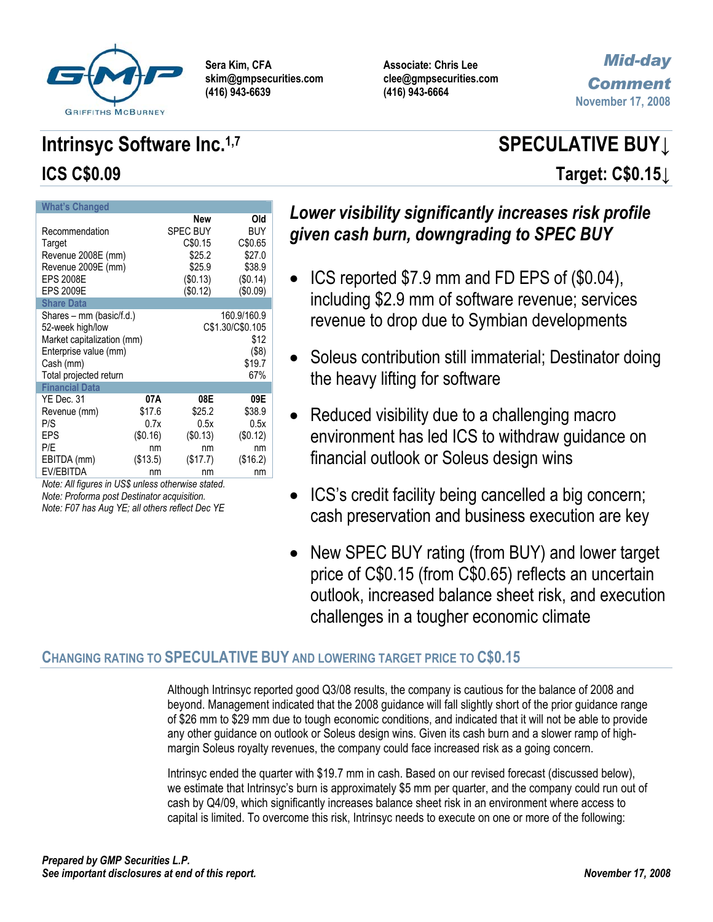

**Associate: Chris Lee clee@gmpsecurities.com (416) 943-6664** 

# *Mid-day Comment* **November 17, 2008**

# **Intrinsyc Software Inc.**<sup>1,7</sup> SPECULATIVE BUY↓ **ICS C\$0.09 Target: C\$0.15↓**

| <b>What's Changed</b>                                                                                                                      |                                                                               |                                                                          |                                                                   |
|--------------------------------------------------------------------------------------------------------------------------------------------|-------------------------------------------------------------------------------|--------------------------------------------------------------------------|-------------------------------------------------------------------|
| Recommendation<br>Target<br>Revenue 2008E (mm)<br>Revenue 2009E (mm)<br><b>EPS 2008E</b><br><b>EPS 2009E</b>                               | New<br><b>SPEC BUY</b><br>C\$0.15<br>\$25.2<br>\$25.9<br>(\$0.13)<br>(\$0.12) | Old<br><b>BUY</b><br>C\$0.65<br>\$27.0<br>\$38.9<br>(\$0.14)<br>(\$0.09) |                                                                   |
| <b>Share Data</b>                                                                                                                          |                                                                               |                                                                          |                                                                   |
| Shares - mm (basic/f.d.)<br>52-week high/low<br>Market capitalization (mm)<br>Enterprise value (mm)<br>Cash (mm)<br>Total projected return |                                                                               |                                                                          | 160.9/160.9<br>C\$1.30/C\$0.105<br>\$12<br>(\$8)<br>\$19.7<br>67% |
| <b>Financial Data</b>                                                                                                                      |                                                                               |                                                                          |                                                                   |
| YE Dec. 31<br>Revenue (mm)<br>P/S<br>EPS                                                                                                   | 07A<br>\$17.6<br>0.7x<br>(\$0.16)                                             | 08E<br>\$25.2<br>0.5x<br>(S0.13)                                         | 09E<br>\$38.9<br>0.5x<br>(\$0.12)                                 |
| P/E<br>EBITDA (mm)<br>EV/EBITDA                                                                                                            | nm<br>(\$13.5)<br>nm                                                          | nm<br>(\$17.7)<br>nm                                                     | nm<br>(\$16.2)<br>nm                                              |

*Note: All figures in US\$ unless otherwise stated. Note: Proforma post Destinator acquisition.* 

*Note: F07 has Aug YE; all others reflect Dec YE* 

# *Lower visibility significantly increases risk profile given cash burn, downgrading to SPEC BUY*

- ICS reported \$7.9 mm and FD EPS of (\$0.04), including \$2.9 mm of software revenue; services revenue to drop due to Symbian developments
- Soleus contribution still immaterial; Destinator doing the heavy lifting for software
- Reduced visibility due to a challenging macro environment has led ICS to withdraw guidance on financial outlook or Soleus design wins
- ICS's credit facility being cancelled a big concern; cash preservation and business execution are key
- New SPEC BUY rating (from BUY) and lower target price of C\$0.15 (from C\$0.65) reflects an uncertain outlook, increased balance sheet risk, and execution challenges in a tougher economic climate

# **CHANGING RATING TO SPECULATIVE BUY AND LOWERING TARGET PRICE TO C\$0.15**

Although Intrinsyc reported good Q3/08 results, the company is cautious for the balance of 2008 and beyond. Management indicated that the 2008 guidance will fall slightly short of the prior guidance range of \$26 mm to \$29 mm due to tough economic conditions, and indicated that it will not be able to provide any other guidance on outlook or Soleus design wins. Given its cash burn and a slower ramp of highmargin Soleus royalty revenues, the company could face increased risk as a going concern.

Intrinsyc ended the quarter with \$19.7 mm in cash. Based on our revised forecast (discussed below), we estimate that Intrinsyc's burn is approximately \$5 mm per quarter, and the company could run out of cash by Q4/09, which significantly increases balance sheet risk in an environment where access to capital is limited. To overcome this risk, Intrinsyc needs to execute on one or more of the following: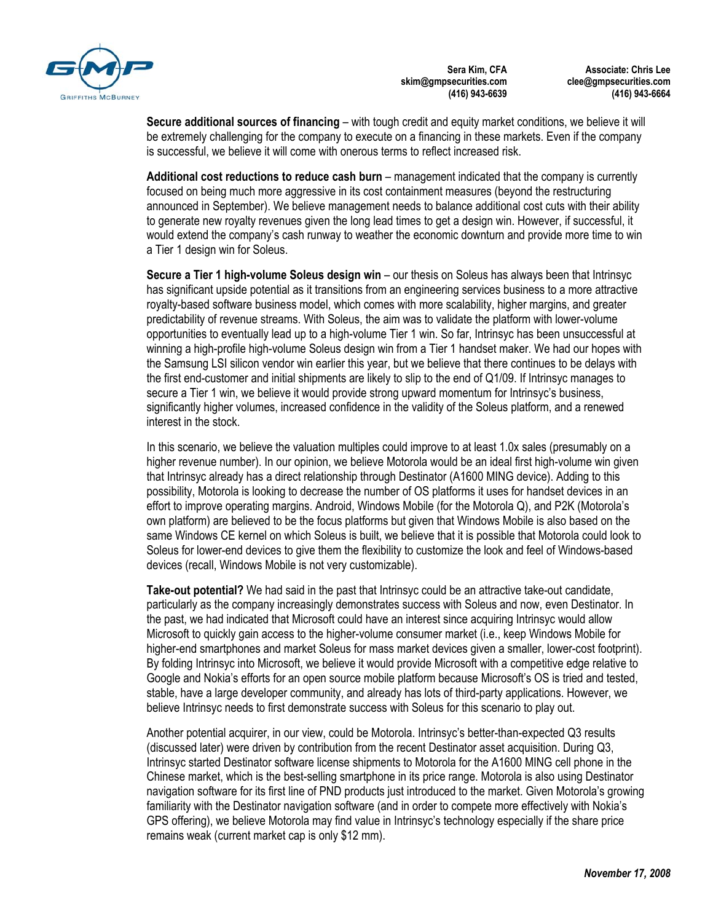

**Associate: Chris Lee clee@gmpsecurities.com (416) 943-6664** 

**Secure additional sources of financing** – with tough credit and equity market conditions, we believe it will be extremely challenging for the company to execute on a financing in these markets. Even if the company is successful, we believe it will come with onerous terms to reflect increased risk.

**Additional cost reductions to reduce cash burn** – management indicated that the company is currently focused on being much more aggressive in its cost containment measures (beyond the restructuring announced in September). We believe management needs to balance additional cost cuts with their ability to generate new royalty revenues given the long lead times to get a design win. However, if successful, it would extend the company's cash runway to weather the economic downturn and provide more time to win a Tier 1 design win for Soleus.

**Secure a Tier 1 high-volume Soleus design win** – our thesis on Soleus has always been that Intrinsyc has significant upside potential as it transitions from an engineering services business to a more attractive royalty-based software business model, which comes with more scalability, higher margins, and greater predictability of revenue streams. With Soleus, the aim was to validate the platform with lower-volume opportunities to eventually lead up to a high-volume Tier 1 win. So far, Intrinsyc has been unsuccessful at winning a high-profile high-volume Soleus design win from a Tier 1 handset maker. We had our hopes with the Samsung LSI silicon vendor win earlier this year, but we believe that there continues to be delays with the first end-customer and initial shipments are likely to slip to the end of Q1/09. If Intrinsyc manages to secure a Tier 1 win, we believe it would provide strong upward momentum for Intrinsyc's business, significantly higher volumes, increased confidence in the validity of the Soleus platform, and a renewed interest in the stock.

In this scenario, we believe the valuation multiples could improve to at least 1.0x sales (presumably on a higher revenue number). In our opinion, we believe Motorola would be an ideal first high-volume win given that Intrinsyc already has a direct relationship through Destinator (A1600 MING device). Adding to this possibility, Motorola is looking to decrease the number of OS platforms it uses for handset devices in an effort to improve operating margins. Android, Windows Mobile (for the Motorola Q), and P2K (Motorola's own platform) are believed to be the focus platforms but given that Windows Mobile is also based on the same Windows CE kernel on which Soleus is built, we believe that it is possible that Motorola could look to Soleus for lower-end devices to give them the flexibility to customize the look and feel of Windows-based devices (recall, Windows Mobile is not very customizable).

**Take-out potential?** We had said in the past that Intrinsyc could be an attractive take-out candidate, particularly as the company increasingly demonstrates success with Soleus and now, even Destinator. In the past, we had indicated that Microsoft could have an interest since acquiring Intrinsyc would allow Microsoft to quickly gain access to the higher-volume consumer market (i.e., keep Windows Mobile for higher-end smartphones and market Soleus for mass market devices given a smaller, lower-cost footprint). By folding Intrinsyc into Microsoft, we believe it would provide Microsoft with a competitive edge relative to Google and Nokia's efforts for an open source mobile platform because Microsoft's OS is tried and tested, stable, have a large developer community, and already has lots of third-party applications. However, we believe Intrinsyc needs to first demonstrate success with Soleus for this scenario to play out.

Another potential acquirer, in our view, could be Motorola. Intrinsyc's better-than-expected Q3 results (discussed later) were driven by contribution from the recent Destinator asset acquisition. During Q3, Intrinsyc started Destinator software license shipments to Motorola for the A1600 MING cell phone in the Chinese market, which is the best-selling smartphone in its price range. Motorola is also using Destinator navigation software for its first line of PND products just introduced to the market. Given Motorola's growing familiarity with the Destinator navigation software (and in order to compete more effectively with Nokia's GPS offering), we believe Motorola may find value in Intrinsyc's technology especially if the share price remains weak (current market cap is only \$12 mm).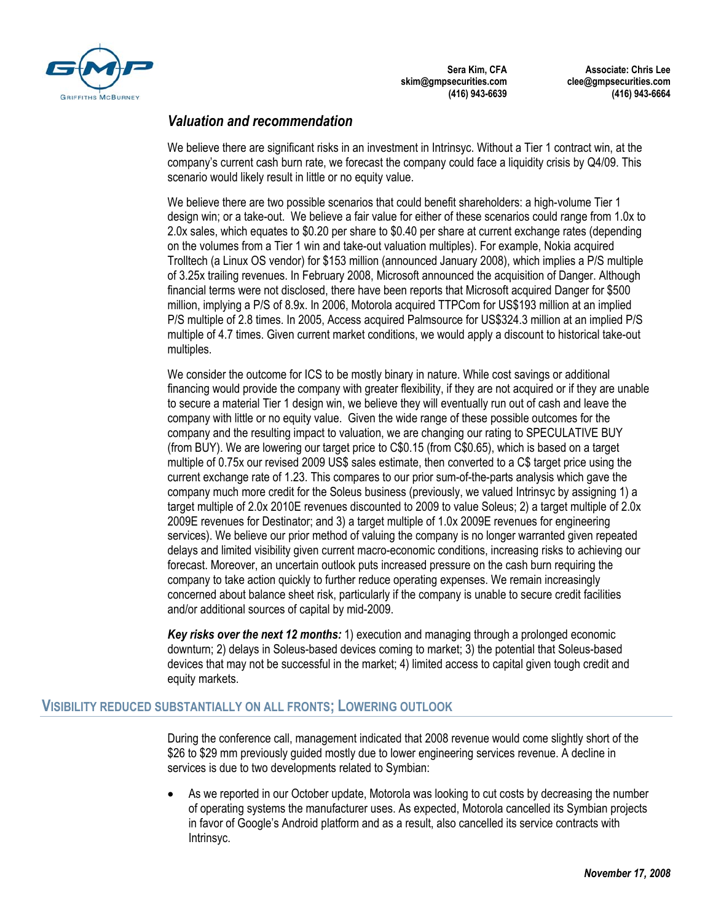

**Associate: Chris Lee clee@gmpsecurities.com (416) 943-6664** 



## *Valuation and recommendation*

We believe there are significant risks in an investment in Intrinsyc. Without a Tier 1 contract win, at the company's current cash burn rate, we forecast the company could face a liquidity crisis by Q4/09. This scenario would likely result in little or no equity value.

We believe there are two possible scenarios that could benefit shareholders: a high-volume Tier 1 design win; or a take-out. We believe a fair value for either of these scenarios could range from 1.0x to 2.0x sales, which equates to \$0.20 per share to \$0.40 per share at current exchange rates (depending on the volumes from a Tier 1 win and take-out valuation multiples). For example, Nokia acquired Trolltech (a Linux OS vendor) for \$153 million (announced January 2008), which implies a P/S multiple of 3.25x trailing revenues. In February 2008, Microsoft announced the acquisition of Danger. Although financial terms were not disclosed, there have been reports that Microsoft acquired Danger for \$500 million, implying a P/S of 8.9x. In 2006, Motorola acquired TTPCom for US\$193 million at an implied P/S multiple of 2.8 times. In 2005, Access acquired Palmsource for US\$324.3 million at an implied P/S multiple of 4.7 times. Given current market conditions, we would apply a discount to historical take-out multiples.

We consider the outcome for ICS to be mostly binary in nature. While cost savings or additional financing would provide the company with greater flexibility, if they are not acquired or if they are unable to secure a material Tier 1 design win, we believe they will eventually run out of cash and leave the company with little or no equity value. Given the wide range of these possible outcomes for the company and the resulting impact to valuation, we are changing our rating to SPECULATIVE BUY (from BUY). We are lowering our target price to C\$0.15 (from C\$0.65), which is based on a target multiple of 0.75x our revised 2009 US\$ sales estimate, then converted to a C\$ target price using the current exchange rate of 1.23. This compares to our prior sum-of-the-parts analysis which gave the company much more credit for the Soleus business (previously, we valued Intrinsyc by assigning 1) a target multiple of 2.0x 2010E revenues discounted to 2009 to value Soleus; 2) a target multiple of 2.0x 2009E revenues for Destinator; and 3) a target multiple of 1.0x 2009E revenues for engineering services). We believe our prior method of valuing the company is no longer warranted given repeated delays and limited visibility given current macro-economic conditions, increasing risks to achieving our forecast. Moreover, an uncertain outlook puts increased pressure on the cash burn requiring the company to take action quickly to further reduce operating expenses. We remain increasingly concerned about balance sheet risk, particularly if the company is unable to secure credit facilities and/or additional sources of capital by mid-2009.

*Key risks over the next 12 months:* 1) execution and managing through a prolonged economic downturn; 2) delays in Soleus-based devices coming to market; 3) the potential that Soleus-based devices that may not be successful in the market; 4) limited access to capital given tough credit and equity markets.

### **VISIBILITY REDUCED SUBSTANTIALLY ON ALL FRONTS; LOWERING OUTLOOK**

During the conference call, management indicated that 2008 revenue would come slightly short of the \$26 to \$29 mm previously guided mostly due to lower engineering services revenue. A decline in services is due to two developments related to Symbian:

• As we reported in our October update, Motorola was looking to cut costs by decreasing the number of operating systems the manufacturer uses. As expected, Motorola cancelled its Symbian projects in favor of Google's Android platform and as a result, also cancelled its service contracts with Intrinsyc.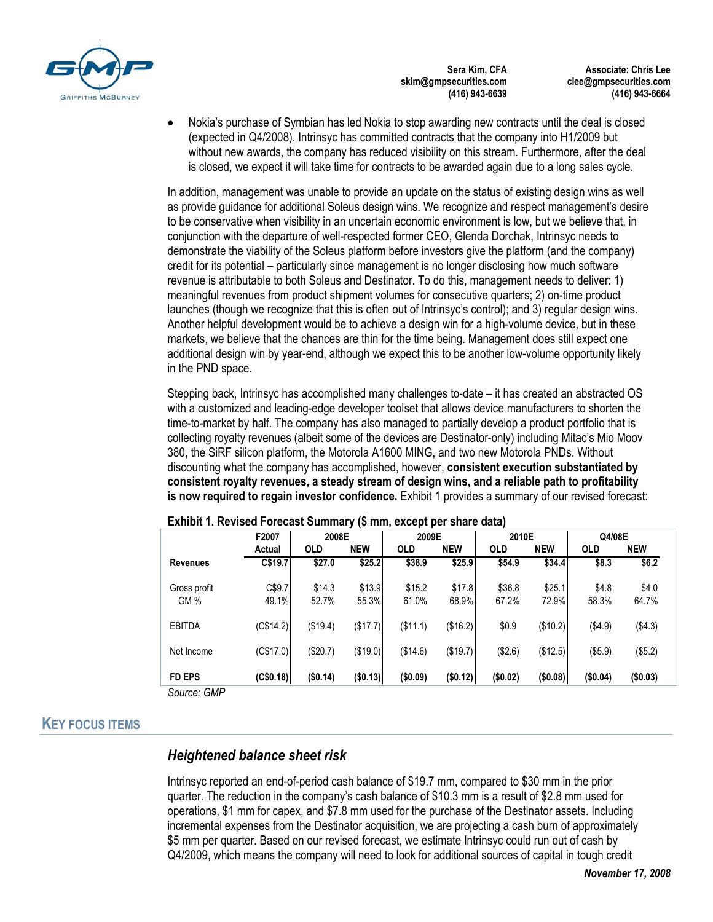

**Associate: Chris Lee clee@gmpsecurities.com (416) 943-6664** 

• Nokia's purchase of Symbian has led Nokia to stop awarding new contracts until the deal is closed (expected in Q4/2008). Intrinsyc has committed contracts that the company into H1/2009 but without new awards, the company has reduced visibility on this stream. Furthermore, after the deal is closed, we expect it will take time for contracts to be awarded again due to a long sales cycle.

In addition, management was unable to provide an update on the status of existing design wins as well as provide guidance for additional Soleus design wins. We recognize and respect management's desire to be conservative when visibility in an uncertain economic environment is low, but we believe that, in conjunction with the departure of well-respected former CEO, Glenda Dorchak, Intrinsyc needs to demonstrate the viability of the Soleus platform before investors give the platform (and the company) credit for its potential – particularly since management is no longer disclosing how much software revenue is attributable to both Soleus and Destinator. To do this, management needs to deliver: 1) meaningful revenues from product shipment volumes for consecutive quarters; 2) on-time product launches (though we recognize that this is often out of Intrinsyc's control); and 3) regular design wins. Another helpful development would be to achieve a design win for a high-volume device, but in these markets, we believe that the chances are thin for the time being. Management does still expect one additional design win by year-end, although we expect this to be another low-volume opportunity likely in the PND space.

Stepping back, Intrinsyc has accomplished many challenges to-date – it has created an abstracted OS with a customized and leading-edge developer toolset that allows device manufacturers to shorten the time-to-market by half. The company has also managed to partially develop a product portfolio that is collecting royalty revenues (albeit some of the devices are Destinator-only) including Mitac's Mio Moov 380, the SiRF silicon platform, the Motorola A1600 MING, and two new Motorola PNDs. Without discounting what the company has accomplished, however, **consistent execution substantiated by consistent royalty revenues, a steady stream of design wins, and a reliable path to profitability is now required to regain investor confidence.** Exhibit 1 provides a summary of our revised forecast:

|                                          | F2007           | 2008E           |                 | 2009E           |                 | 2010E           |                 | Q4/08E            |                |
|------------------------------------------|-----------------|-----------------|-----------------|-----------------|-----------------|-----------------|-----------------|-------------------|----------------|
|                                          | Actual          | <b>OLD</b>      | <b>NEW</b>      | <b>OLD</b>      | <b>NEW</b>      | <b>OLD</b>      | <b>NEW</b>      | <b>OLD</b>        | <b>NEW</b>     |
| <b>Revenues</b>                          | C\$19.7         | \$27.0          | \$25.2          | \$38.9          | \$25.9          | \$54.9          | \$34.4          | $$8.\overline{3}$ | \$6.2          |
| Gross profit<br>GM%                      | C\$9.7<br>49.1% | \$14.3<br>52.7% | \$13.9<br>55.3% | \$15.2<br>61.0% | \$17.8<br>68.9% | \$36.8<br>67.2% | \$25.1<br>72.9% | \$4.8<br>58.3%    | \$4.0<br>64.7% |
| <b>EBITDA</b>                            | (C\$14.2)       | (\$19.4)        | (\$17.7)        | (\$11.1)        | (\$16.2)        | \$0.9           | (\$10.2)        | (\$4.9)           | (\$4.3)        |
| Net Income                               | (C\$17.0)       | (\$20.7)        | (\$19.0)        | (\$14.6)        | (\$19.7)        | (\$2.6)         | (\$12.5)        | (\$5.9)           | (\$5.2)        |
| <b>FD EPS</b><br>$\sim$<br>$\sim$ $\sim$ | (C\$0.18)       | (\$0.14)        | (\$0.13)        | (\$0.09)        | (\$0.12)        | (\$0.02)        | (\$0.08)        | (\$0.04)          | (\$0.03)       |

#### **Exhibit 1. Revised Forecast Summary (\$ mm, except per share data)**

*Source: GMP* 

### **KEY FOCUS ITEMS**

### *Heightened balance sheet risk*

Intrinsyc reported an end-of-period cash balance of \$19.7 mm, compared to \$30 mm in the prior quarter. The reduction in the company's cash balance of \$10.3 mm is a result of \$2.8 mm used for operations, \$1 mm for capex, and \$7.8 mm used for the purchase of the Destinator assets. Including incremental expenses from the Destinator acquisition, we are projecting a cash burn of approximately \$5 mm per quarter. Based on our revised forecast, we estimate Intrinsyc could run out of cash by Q4/2009, which means the company will need to look for additional sources of capital in tough credit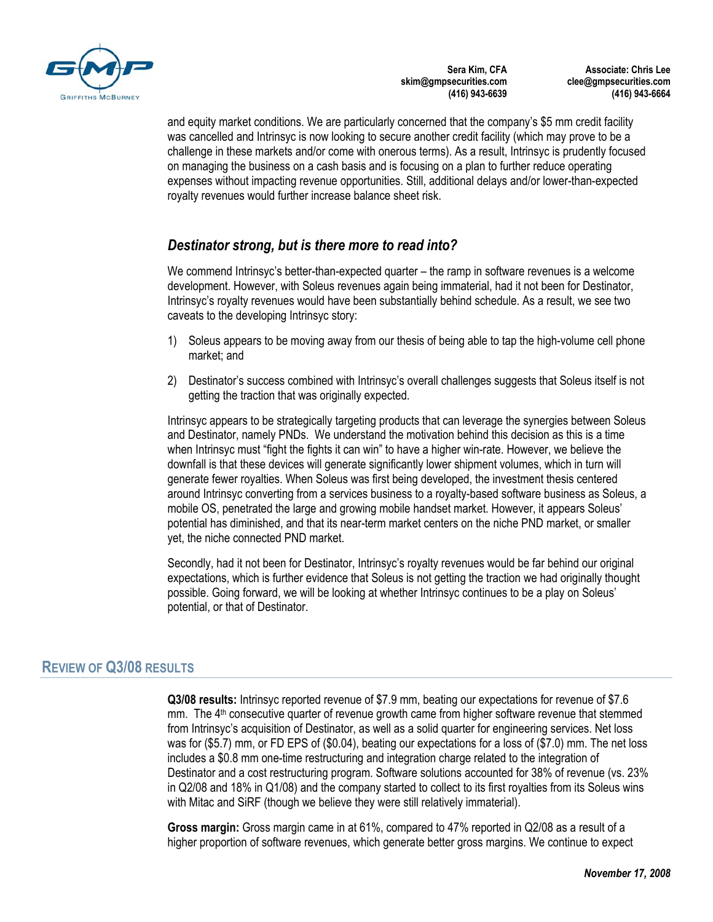

**Associate: Chris Lee clee@gmpsecurities.com (416) 943-6664** 

and equity market conditions. We are particularly concerned that the company's \$5 mm credit facility was cancelled and Intrinsyc is now looking to secure another credit facility (which may prove to be a challenge in these markets and/or come with onerous terms). As a result, Intrinsyc is prudently focused on managing the business on a cash basis and is focusing on a plan to further reduce operating expenses without impacting revenue opportunities. Still, additional delays and/or lower-than-expected royalty revenues would further increase balance sheet risk.

# *Destinator strong, but is there more to read into?*

We commend Intrinsyc's better-than-expected quarter – the ramp in software revenues is a welcome development. However, with Soleus revenues again being immaterial, had it not been for Destinator, Intrinsyc's royalty revenues would have been substantially behind schedule. As a result, we see two caveats to the developing Intrinsyc story:

- 1) Soleus appears to be moving away from our thesis of being able to tap the high-volume cell phone market; and
- 2) Destinator's success combined with Intrinsyc's overall challenges suggests that Soleus itself is not getting the traction that was originally expected.

Intrinsyc appears to be strategically targeting products that can leverage the synergies between Soleus and Destinator, namely PNDs. We understand the motivation behind this decision as this is a time when Intrinsyc must "fight the fights it can win" to have a higher win-rate. However, we believe the downfall is that these devices will generate significantly lower shipment volumes, which in turn will generate fewer royalties. When Soleus was first being developed, the investment thesis centered around Intrinsyc converting from a services business to a royalty-based software business as Soleus, a mobile OS, penetrated the large and growing mobile handset market. However, it appears Soleus' potential has diminished, and that its near-term market centers on the niche PND market, or smaller yet, the niche connected PND market.

Secondly, had it not been for Destinator, Intrinsyc's royalty revenues would be far behind our original expectations, which is further evidence that Soleus is not getting the traction we had originally thought possible. Going forward, we will be looking at whether Intrinsyc continues to be a play on Soleus' potential, or that of Destinator.

# **REVIEW OF Q3/08 RESULTS**

**Q3/08 results:** Intrinsyc reported revenue of \$7.9 mm, beating our expectations for revenue of \$7.6 mm. The  $4<sup>th</sup>$  consecutive quarter of revenue growth came from higher software revenue that stemmed from Intrinsyc's acquisition of Destinator, as well as a solid quarter for engineering services. Net loss was for (\$5.7) mm, or FD EPS of (\$0.04), beating our expectations for a loss of (\$7.0) mm. The net loss includes a \$0.8 mm one-time restructuring and integration charge related to the integration of Destinator and a cost restructuring program. Software solutions accounted for 38% of revenue (vs. 23% in Q2/08 and 18% in Q1/08) and the company started to collect to its first royalties from its Soleus wins with Mitac and SiRF (though we believe they were still relatively immaterial).

**Gross margin:** Gross margin came in at 61%, compared to 47% reported in Q2/08 as a result of a higher proportion of software revenues, which generate better gross margins. We continue to expect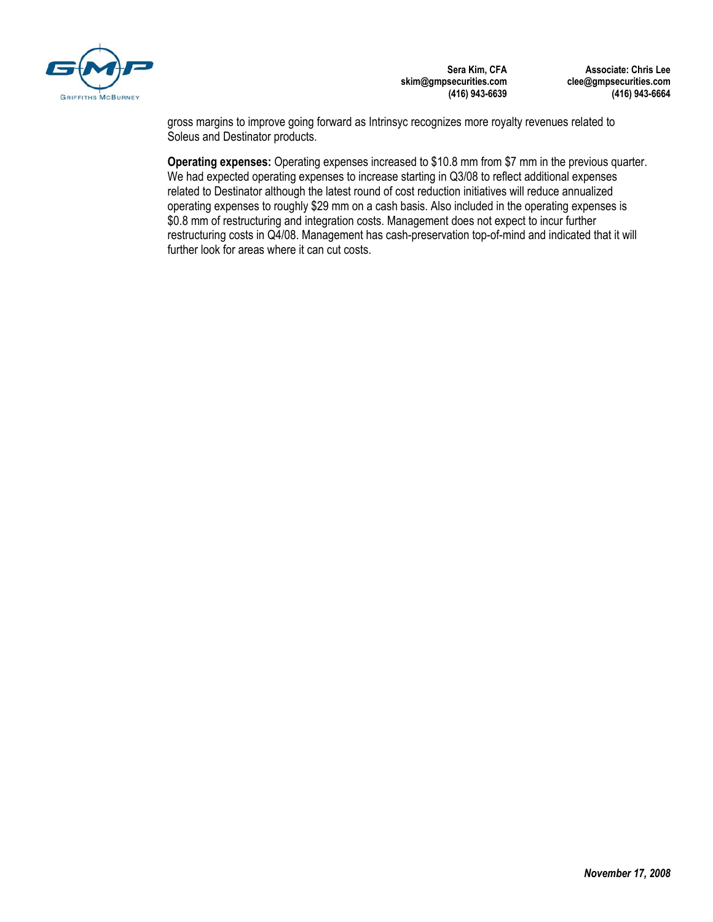

**Associate: Chris Lee clee@gmpsecurities.com (416) 943-6664** 

gross margins to improve going forward as Intrinsyc recognizes more royalty revenues related to Soleus and Destinator products.

**Operating expenses:** Operating expenses increased to \$10.8 mm from \$7 mm in the previous quarter. We had expected operating expenses to increase starting in Q3/08 to reflect additional expenses related to Destinator although the latest round of cost reduction initiatives will reduce annualized operating expenses to roughly \$29 mm on a cash basis. Also included in the operating expenses is \$0.8 mm of restructuring and integration costs. Management does not expect to incur further restructuring costs in Q4/08. Management has cash-preservation top-of-mind and indicated that it will further look for areas where it can cut costs.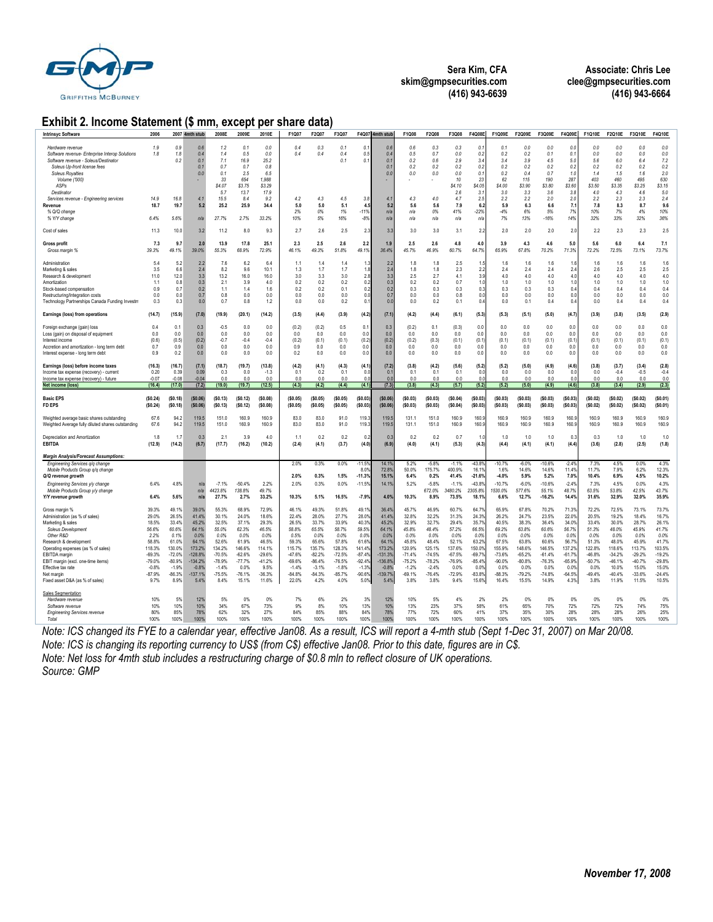

**Associate: Chris Lee clee@gmpsecurities.com (416) 943-6664** 

#### **Exhibit 2. Income Statement (\$ mm, except per share data)**

| <b>Intrinsyc Software</b>                                                                                                                                                                                                                                                                                                                                 | 2006                                                                                                                       |                                                                                                                            | 2007 4mth stub                                                                                                          | 2008E                                                                                                                       | 2009E                                                                                                                    | 2010E                                                                                                                     | F1Q07                                                                                                                        | F2Q07                                                                                                                      | F3Q07                                                                                                                       | F4Q07                                                                                                                         | 4mth stub                                                                                                                  | F1Q08                                                                                                                       | F2Q08                                                                                                                      | F3Q08                                                                                                                    | F4Q08E                                                                                                                                 | F1Q09E                                                                                                                   | F2Q09E                                                                                                                    | F3Q09E                                                                                                                       | F4Q09E                                                                                                                   | F1Q10E                                                                                                                   | F2Q10E                                                                                                                     | F3Q10E                                                                                                                     | F4Q10E                                                                                                                     |
|-----------------------------------------------------------------------------------------------------------------------------------------------------------------------------------------------------------------------------------------------------------------------------------------------------------------------------------------------------------|----------------------------------------------------------------------------------------------------------------------------|----------------------------------------------------------------------------------------------------------------------------|-------------------------------------------------------------------------------------------------------------------------|-----------------------------------------------------------------------------------------------------------------------------|--------------------------------------------------------------------------------------------------------------------------|---------------------------------------------------------------------------------------------------------------------------|------------------------------------------------------------------------------------------------------------------------------|----------------------------------------------------------------------------------------------------------------------------|-----------------------------------------------------------------------------------------------------------------------------|-------------------------------------------------------------------------------------------------------------------------------|----------------------------------------------------------------------------------------------------------------------------|-----------------------------------------------------------------------------------------------------------------------------|----------------------------------------------------------------------------------------------------------------------------|--------------------------------------------------------------------------------------------------------------------------|----------------------------------------------------------------------------------------------------------------------------------------|--------------------------------------------------------------------------------------------------------------------------|---------------------------------------------------------------------------------------------------------------------------|------------------------------------------------------------------------------------------------------------------------------|--------------------------------------------------------------------------------------------------------------------------|--------------------------------------------------------------------------------------------------------------------------|----------------------------------------------------------------------------------------------------------------------------|----------------------------------------------------------------------------------------------------------------------------|----------------------------------------------------------------------------------------------------------------------------|
| Hardware revenue<br>Software revenue- Enterprise Interop Solutions<br>Software revenue - Soleus/Destinator<br>Soleus Up-front license fees<br><b>Soleus Royalties</b><br>Volume ('000)<br><b>ASPs</b><br>Destinator<br>Services revenue - Engineering services<br>Revenue<br>% Q/Q change<br>% Y/Y change                                                 | 1.9<br>1.8<br>14 <sub>9</sub><br>18.7<br>6.4%                                                                              | 0.9<br>1.8<br>0.2<br>16.8<br>19.7<br>5.6%                                                                                  | 0.6<br>0.4<br>0.1<br>0.1<br>0.0<br>4.1<br>5.2<br>n/a                                                                    | 1.2<br>1.4<br>7.1<br>0.7<br>0.1<br>33<br>\$4.07<br>5.7<br>15.5<br>25.2<br>27.7%                                             | 0.1<br>0.5<br>16.9<br>0.7<br>2.5<br>654<br>\$3.75<br>13.7<br>8.4<br>25.9<br>2.7%                                         | 0.0<br>0.0<br>25.2<br>0.8<br>6.5<br>1.988<br>\$3.29<br>17.9<br>9.2<br>34.4<br>33.2%                                       | 0.4<br>0.4<br>4.2<br>5.0<br>2%<br>10%                                                                                        | 0.3<br>0.4<br>43<br>5.0<br>0%<br>5%                                                                                        | 0.1<br>0.4<br>0.1<br>4.5<br>5.1<br>1%<br>16%                                                                                | 0.1<br>0.5<br>0.1<br>3.8<br>4.5<br>$-11%$<br>$-8%$                                                                            | 0.6<br>0.4<br>0.1<br>$\mathbf{0}$ .<br>0.0<br>$\overline{4}$<br>5.2<br>n/a<br>$n/\varepsilon$                              | 0.6<br>0.5<br>0.2<br>0.2<br>0.0<br>4.3<br>5.6<br>n/a<br>n/a                                                                 | 0.3<br>0.7<br>0.6<br>0.2<br>0.0<br>4.0<br>5.6<br>0%<br>n/a                                                                 | 0.3<br>0.0<br>2.9<br>0.2<br>0.0<br>10<br>\$4.10<br>2.6<br>4.7<br>7.9<br>41%<br>n/a                                       | 0.<br>0.2<br>3.4<br>0.5<br>$\theta$<br>23<br>\$4.05<br>3.1<br>2.5<br>6.<br>$-22%$<br>n/a                                               | 0.1<br>0.2<br>3.4<br>0.2<br>02<br>62<br>\$4.00<br>3.0<br>2.2<br>5.9<br>$-4%$<br>7%                                       | 0.0<br>0.2<br>3.9<br>0.2<br>0.4<br>115<br>\$3.90<br>3.3<br>2.2<br>6.3<br>6%<br>13%                                        | 0.0<br>0.1<br>4.5<br>0.2<br>0.7<br>190<br>\$3.80<br>3.6<br>2.0<br>6.6<br>5%<br>$-16%$                                        | 0.0<br>0.1<br>5.0<br>0.2<br>1.0<br>287<br>\$3.60<br>3.8<br>2.0<br>7.1<br>7%<br>14%                                       | 0.0<br>0.0<br>5.6<br>0.2<br>14<br>403<br>\$3.50<br>4.0<br>2.2<br>7.8<br>10%<br>32%                                       | 0.0<br>0.0<br>6.0<br>0.2<br>1.5<br>460<br>\$3.35<br>4.3<br>2.3<br>8.3<br>7%<br>33%                                         | 0.0<br>0.0<br>6.4<br>0.2<br>16<br>495<br>\$3.25<br>4.6<br>2.3<br>8.7<br>4%<br>32%                                          | 0.0<br>$0.0$<br>7.2<br>0.2<br>2.0<br>630<br>\$3.15<br>5.0<br>2.4<br>9.6<br>10%<br>36%                                      |
| Cost of sales                                                                                                                                                                                                                                                                                                                                             | 11.3                                                                                                                       | 10.0                                                                                                                       | 3.2                                                                                                                     | 11.2                                                                                                                        | 8.0                                                                                                                      | 9.3                                                                                                                       | 2.7                                                                                                                          | 2.6                                                                                                                        | 2.5                                                                                                                         | 2.3                                                                                                                           | 3.3                                                                                                                        | 3.0                                                                                                                         | 3.0                                                                                                                        | 3.1                                                                                                                      | 2.2                                                                                                                                    | 2.0                                                                                                                      | 2.0                                                                                                                       | 2.0                                                                                                                          | 2.0                                                                                                                      | 2.2                                                                                                                      | 2.3                                                                                                                        | 2.3                                                                                                                        | 2.5                                                                                                                        |
| <b>Gross profit</b><br>Gross margin %                                                                                                                                                                                                                                                                                                                     | 7.3<br>39.3%                                                                                                               | 9.7<br>49.1%                                                                                                               | 2.0<br>39.0%                                                                                                            | 13.9<br>55.3%                                                                                                               | 17.8<br>68.9%                                                                                                            | 25.1<br>72.9%                                                                                                             | 2.3<br>46.1%                                                                                                                 | 2.5<br>49.3%                                                                                                               | 2.6<br>51.8%                                                                                                                | 2.2<br>49.1%                                                                                                                  | 1.9<br>36.4%                                                                                                               | 2.5<br>45.7%                                                                                                                | 2.6<br>46.9%                                                                                                               | 4.8<br>60.7%                                                                                                             | 4.0<br>64.7%                                                                                                                           | 3.9<br>65.9%                                                                                                             | 4.3<br>67.8%                                                                                                              | 4.6<br>70.2%                                                                                                                 | 5.0<br>71.3%                                                                                                             | 5.6<br>72.2%                                                                                                             | 6.0<br>72.5%                                                                                                               | 6.4<br>73.1%                                                                                                               | 7.1<br>73.7%                                                                                                               |
| Administration<br>Marketing & sales<br>Research & development<br>Amortization<br>Stock-based compensation<br>Restructuring/Integration costs<br>Technology Partnerships Canada Funding Investm                                                                                                                                                            | 5.4<br>3.5<br>11.0<br>1.1<br>0.9<br>0.0<br>0.3                                                                             | 5.2<br>6.6<br>12.0<br>0.8<br>0.7<br>0.0<br>0.3                                                                             | 2.2<br>2.4<br>3.3<br>0.3<br>0.2<br>0.7<br>0.0                                                                           | 7.6<br>8.2<br>13.2<br>2.1<br>1.1<br>0.8<br>0.7                                                                              | 62<br>9.6<br>16.0<br>3.9<br>1.4<br>0.0<br>0.8                                                                            | 64<br>10.1<br>16.0<br>4.0<br>1.6<br>0.0<br>1.2                                                                            | 1.1<br>1.3<br>3.0<br>0.2<br>0.2<br>0.0<br>0.0                                                                                | 14<br>1.7<br>3.3<br>0.2<br>0.2<br>0.0<br>0.0                                                                               | 14<br>1.7<br>3.0<br>0.2<br>0.1<br>0.0<br>0.2                                                                                | 1:<br>18<br>2.8<br>0.2<br>0.2<br>0.0<br>0.1                                                                                   | 2:<br>24<br>3:<br>0.3<br>0.2<br>0.7<br>0.0                                                                                 | 18<br>1.8<br>2.5<br>0.2<br>0.3<br>0.0<br>0.0                                                                                | 1.8<br>1.8<br>2.7<br>0.2<br>0.3<br>0.0<br>0.2                                                                              | 2.5<br>2.3<br>4.1<br>0.7<br>0.3<br>0.8<br>0.1                                                                            | -1.<br>$\overline{2}$ .<br>$\mathbf{3}$<br>$\mathbf{1}$<br>$\mathbf{0}$<br>0.0<br>0.4                                                  | 1.6<br>2.4<br>40<br>1.0<br>0.3<br>0.0<br>0.0                                                                             | 1.6<br>2.4<br>40<br>1.0<br>0.3<br>0.0<br>0.1                                                                              | 1.6<br>24<br>4.0<br>1.0<br>0.3<br>0.0<br>0.4                                                                                 | 11<br>2.4<br>4(<br>1(<br>0.4<br>0.0<br>0.4                                                                               | 16<br>2.6<br>40<br>1.0<br>0.4<br>0.0<br>0.0                                                                              | 16<br>2.5<br>4.0<br>1.0<br>0.4<br>0.0<br>0.4                                                                               | 1.6<br>2.5<br>4.0<br>1.0<br>0.4<br>0.0<br>0.4                                                                              | 1.6<br>2.5<br>4.0<br>1.0<br>0.4<br>0.0<br>0.4                                                                              |
| Earnings (loss) from operations                                                                                                                                                                                                                                                                                                                           | (14.7)                                                                                                                     | (15.9)                                                                                                                     | (7.0)                                                                                                                   | (19.9)                                                                                                                      | (20.1)                                                                                                                   | (14.2)                                                                                                                    | (3.5)                                                                                                                        | (4.4)                                                                                                                      | (3.9)                                                                                                                       | (4.2)                                                                                                                         | (7.1)                                                                                                                      | (4.2)                                                                                                                       | (4.4)                                                                                                                      | (6.1)                                                                                                                    | (5.3)                                                                                                                                  | (5.3)                                                                                                                    | (5.1)                                                                                                                     | (5.0)                                                                                                                        | (4.7)                                                                                                                    | (3.9)                                                                                                                    | (3.8)                                                                                                                      | (3.5)                                                                                                                      | (2.9)                                                                                                                      |
| Foreign exchange (gain) loss<br>Loss (gain) on disposal of equipment<br>Interest income<br>Accretion and amortization - long term debt<br>Interest expense - long term debt                                                                                                                                                                               | 0.4<br>0.0<br>(0.6)<br>0.7<br>0.9                                                                                          | 0.1<br>0.0<br>(0.5)<br>0.9<br>0.2                                                                                          | 0.3<br>0.0<br>(0.2)<br>0.0<br>0.0                                                                                       | $-0.5$<br>0.0<br>$-0.7$<br>0.0<br>0.0                                                                                       | 0.0<br>0.0<br>$-0.4$<br>0.0<br>0.0                                                                                       | 0.0<br>0.0<br>$-0.4$<br>0.0<br>0.0                                                                                        | (0.2)<br>0.0<br>(0.2)<br>0.9<br>0.2                                                                                          | (0.2)<br>0.0<br>(0.1)<br>0.0<br>0.0                                                                                        | 0.5<br>0.0<br>(0.1)<br>0.0<br>0.0                                                                                           | 0.1<br>0.0<br>(0.2)<br>0.0<br>0.0                                                                                             | 0.3<br>0.0<br>(0.2)<br>0.0<br>0.0                                                                                          | (0.2)<br>0.0<br>(0.2)<br>0.0<br>0.0                                                                                         | 0.1<br>0.0<br>(0.3)<br>0.0<br>0.0                                                                                          | (0.3)<br>0.0<br>(0.1)<br>0.0<br>0.0                                                                                      | 0.0<br>0.0<br>(0.1)<br>0.0<br>0.0                                                                                                      | 0.0<br>0.0<br>(0.1)<br>0.0<br>0 <sub>0</sub>                                                                             | 0.0<br>0.0<br>(0.1)<br>0.0<br>0.0                                                                                         | 0.0<br>0.0<br>(0.1)<br>0.0<br>0.0                                                                                            | 0.0<br>0.0<br>(0.1)<br>0.0<br>0.0                                                                                        | 0.0<br>0.0<br>(0.1)<br>0.0<br>0.0                                                                                        | 0.0<br>0.0<br>(0.1)<br>0.0<br>0.0                                                                                          | 0.0<br>0.0<br>(0.1)<br>0.0<br>0.0                                                                                          | 0.0<br>0.0<br>(0.1)<br>0.0<br>0.0                                                                                          |
| Earnings (loss) before income taxes<br>Income tax expense (recovery) - current<br>Income tax expense (recovery) - future                                                                                                                                                                                                                                  | (16.3)<br>0.20<br>$-0.07$                                                                                                  | (16.7)<br>0.39                                                                                                             | (7.1)<br>0.09                                                                                                           | (18.7)<br>0.3                                                                                                               | (19.7)<br>0.0                                                                                                            | (13.8)<br>$-1.3$                                                                                                          | (4.2)<br>0.1                                                                                                                 | (4.1)<br>0.2                                                                                                               | (4.3)<br>0.1                                                                                                                | (4.1)<br>0(                                                                                                                   | (7.2)<br>$\Omega$                                                                                                          | (3.8)<br>0.1                                                                                                                | (4.2)<br>0.1                                                                                                               | (5.6)<br>0.1                                                                                                             | (5.2)<br>$\theta$                                                                                                                      | (5.2)<br>0.0                                                                                                             | (5.0)<br>0.0                                                                                                              | (4.9)<br>0.0                                                                                                                 | (4.6)<br>0.0                                                                                                             | (3.8)<br>0.0                                                                                                             | (3.7)<br>$-0.4$                                                                                                            | (3.4)<br>$-0.5$                                                                                                            | (2.8)<br>$-0.4$                                                                                                            |
|                                                                                                                                                                                                                                                                                                                                                           |                                                                                                                            | -0.08                                                                                                                      | $-0.04$                                                                                                                 | 0 <sub>0</sub>                                                                                                              | 0 <sub>0</sub>                                                                                                           | 0.0                                                                                                                       | 0 <sub>0</sub>                                                                                                               | 0 <sub>0</sub>                                                                                                             | 0 <sub>0</sub>                                                                                                              | n r                                                                                                                           | 0.0                                                                                                                        | 0 <sub>0</sub>                                                                                                              | 00                                                                                                                         | 0 <sub>0</sub>                                                                                                           | 0 <sup>0</sup>                                                                                                                         | 0 <sub>0</sub>                                                                                                           | 00                                                                                                                        | 0 <sub>0</sub>                                                                                                               | 0 <sup>0</sup>                                                                                                           | 0 <sub>0</sub>                                                                                                           | 00                                                                                                                         | 0 <sub>0</sub>                                                                                                             | 0.0                                                                                                                        |
| Net income (loss)                                                                                                                                                                                                                                                                                                                                         | (16.4)                                                                                                                     | (17.0)                                                                                                                     | (7.2)                                                                                                                   | (19.0)                                                                                                                      | (19.7)                                                                                                                   | (12.5)                                                                                                                    | (4.3)                                                                                                                        | (4.2)                                                                                                                      | (4.4)                                                                                                                       | (4.1)                                                                                                                         | (7.3)                                                                                                                      | (3.8)                                                                                                                       | (4.3)                                                                                                                      | (57)                                                                                                                     | (5.2)                                                                                                                                  | (5.2)                                                                                                                    | (5.0)                                                                                                                     | (49)                                                                                                                         | (4.6)                                                                                                                    | (3.8)                                                                                                                    | (3.4)                                                                                                                      | (2.9)                                                                                                                      | (2.3)                                                                                                                      |
| <b>Basic EPS</b><br>FD EPS                                                                                                                                                                                                                                                                                                                                | (\$0.24)<br>(\$0.24)                                                                                                       | (\$0.18)<br>(\$0.18)                                                                                                       | (50.06)<br>(50.06)                                                                                                      | (\$0.13)<br>(\$0.13)                                                                                                        | (\$0.12)<br>(50.12)                                                                                                      | (S0.08)<br>(\$0.08)                                                                                                       | (\$0.05)<br>(\$0.05)                                                                                                         | (\$0.05)<br>(\$0.05)                                                                                                       | (\$0.05)<br>(\$0.05)                                                                                                        | (\$0.03]<br>(\$0.03)                                                                                                          | (50.06)<br>(\$0.06)                                                                                                        | (\$0.03)<br>(\$0.03)                                                                                                        | (50.03)<br>(50.03)                                                                                                         | (S0.04)<br>(\$0.04)                                                                                                      | (\$0.03]<br>(S0.03)                                                                                                                    | (\$0.03)<br>(\$0.03)                                                                                                     | (\$0.03)<br>(\$0.03)                                                                                                      | (\$0.03)<br>(\$0.03)                                                                                                         | (\$0.03]<br>(\$0.03]                                                                                                     | (50.02)<br>(50.02)                                                                                                       | (\$0.02)<br>(\$0.02)                                                                                                       | (\$0.02)<br>(\$0.02)                                                                                                       | (\$0.01]<br>(\$0.01)                                                                                                       |
| Weighted average basic shares outstanding<br>Weighted Average fully diluted shares outstanding                                                                                                                                                                                                                                                            | 67.6<br>67.6                                                                                                               | 94.2<br>94.2                                                                                                               | 119.5<br>119.5                                                                                                          | 151.0<br>151.0                                                                                                              | 160.9<br>160.9                                                                                                           | 160.9<br>160.9                                                                                                            | 83.0<br>83.0                                                                                                                 | 83.0<br>83.0                                                                                                               | 91.0<br>91.0                                                                                                                | 119.3<br>119.3                                                                                                                | 119.5<br>119.5                                                                                                             | 131.1<br>131.1                                                                                                              | 151.0<br>151.0                                                                                                             | 160.9<br>160.9                                                                                                           | 160.<br>160.                                                                                                                           | 160.9<br>160.9                                                                                                           | 160.9<br>160.9                                                                                                            | 160.9<br>160.9                                                                                                               | 160.9<br>160.9                                                                                                           | 160.9<br>160.9                                                                                                           | 160.9<br>160.9                                                                                                             | 160.9<br>160.9                                                                                                             | 160.9<br>160.9                                                                                                             |
| Depreciation and Amortization<br><b>EBITDA</b>                                                                                                                                                                                                                                                                                                            | 1.8<br>(12.9)                                                                                                              | 1.7<br>(14.2)                                                                                                              | 0.3<br>(6.7)                                                                                                            | 2.1<br>(17.7)                                                                                                               | 3.9<br>(16.2)                                                                                                            | 4.0<br>(10.2)                                                                                                             | 1.1<br>(2.4)                                                                                                                 | 0.2<br>(4.1)                                                                                                               | 02<br>(3.7)                                                                                                                 | 0.2<br>(4.0)                                                                                                                  | 0:<br>(6.9)                                                                                                                | 0.2<br>(4.0)                                                                                                                | 0.2<br>(4.1)                                                                                                               | 0.7<br>(5.3)                                                                                                             | $\overline{1}$<br>(4.3)                                                                                                                | 10<br>(4.4)                                                                                                              | 1.0<br>(4.1)                                                                                                              | 1.0<br>(4.1)                                                                                                                 | $0$ :<br>(4.4)                                                                                                           | 0.3<br>(3.6)                                                                                                             | 1.0<br>(2.8)                                                                                                               | 1.0<br>(2.5)                                                                                                               | 1.0<br>(1.8)                                                                                                               |
| <b>Margin Analysis/Forecast Assumptions:</b>                                                                                                                                                                                                                                                                                                              |                                                                                                                            |                                                                                                                            |                                                                                                                         |                                                                                                                             |                                                                                                                          |                                                                                                                           |                                                                                                                              |                                                                                                                            |                                                                                                                             |                                                                                                                               |                                                                                                                            |                                                                                                                             |                                                                                                                            |                                                                                                                          |                                                                                                                                        |                                                                                                                          |                                                                                                                           |                                                                                                                              |                                                                                                                          |                                                                                                                          |                                                                                                                            |                                                                                                                            |                                                                                                                            |
| Engineering Services q/q change<br>Mobile Products Group q/q change<br>Q/Q revenue growth<br>Engineering Services y/y change<br>Mobile Products Group y/y change                                                                                                                                                                                          | 6.4%                                                                                                                       | 4.8%                                                                                                                       | n/s<br>n/a                                                                                                              | $-7.1%$<br>4423.8%                                                                                                          | $-50.4%$<br>138.8%                                                                                                       | 2.2%<br>49.7%                                                                                                             | 2.0%<br>2.0%<br>2.0%                                                                                                         | 0.3%<br>0.3%<br>0.3%                                                                                                       | 0.0%<br>1.5%<br>0.0%                                                                                                        | $-11.59$<br>8.0%<br>$-11.3%$<br>$-11.5%$                                                                                      | 14.1%<br>72.8%<br>15.1%<br>14.1%                                                                                           | 5.2%<br>50.0%<br>6.4%<br>5.2%                                                                                               | $-5.8%$<br>175.7%<br>0.2%<br>$-5.8%$<br>672.0%                                                                             | $-1.1%$<br>400.9%<br>41.4%<br>$-1.1%$<br>3480.2%                                                                         | $-43.8^{\circ}$<br>16.1'<br>$-21.69$<br>$-43.8^{\circ}$<br>2305.89                                                                     | $-10.7%$<br>1.6%<br>$-4.0%$<br>$-10.7%$<br>530.0%                                                                        | $-6.0%$<br>14.6%<br>5.9%<br>$-6.0%$<br>577.6%                                                                             | $-10.6%$<br>14.6%<br>5.2%<br>$-10.6%$<br>55.1%                                                                               | $-2.4%$<br>11.49<br>7.0%<br>$-2.4%$<br>48.7%                                                                             | 7.3%<br>11.7%<br>10.4%<br>7.3%<br>63.5%                                                                                  | 4.5%<br>7.9%<br>6.9%<br>4.5%<br>53.8%                                                                                      | 0.0%<br>6.2%<br>4.5%<br>0.0%<br>42.5%                                                                                      | 4.3%<br>12.3%<br>10.2%<br>4.3%<br>43.7%                                                                                    |
| Y/Y revenue growth<br>Gross margin %<br>Administration (as % of sales)<br>Marketing & sales<br>Soleus Development<br>Other R&D<br>Research & development<br>Operating expenses (as % of sales)<br>EBITDA margin<br>EBIT margin (excl. one-time items)<br>Effective tax rate<br>Net margin<br>Fixed asset D&A (as % of sales)<br><b>Sales Segmentation</b> | 6.4%<br>39.3%<br>29.0%<br>18.5%<br>56.6%<br>2.2%<br>58.8%<br>118.3%<br>$-69.3%$<br>$-79.0%$<br>$-0.8%$<br>$-87.9%$<br>9.7% | 5.6%<br>49.1%<br>26.5%<br>33.4%<br>60.6%<br>0.1%<br>61.0%<br>130.0%<br>$-72.0%$<br>$-80.9%$<br>$-1.9%$<br>$-86.3%$<br>8.9% | n/z<br>39.0%<br>41.4%<br>45.2%<br>64.1%<br>0.0%<br>64.1%<br>173.2%<br>-128.8%<br>134.2%<br>$-0.8%$<br>$-137.1%$<br>5.4% | 27.7%<br>55.3%<br>30.1%<br>32.5%<br>55.0%<br>0.0%<br>52.6%<br>134.2%<br>$-70.5%$<br>$-78.9%$<br>$-1.4%$<br>$-75.5%$<br>8.4% | 2.7%<br>68.9%<br>24.0%<br>37.1%<br>62.3%<br>0.0%<br>61.9%<br>146.6%<br>$-62.6%$<br>$-77.7%$<br>0.0%<br>$-76.1%$<br>15.1% | 33.2%<br>72.9%<br>18.6%<br>29.3%<br>46.5%<br>0.0%<br>46.5%<br>114.1%<br>$-29.6%$<br>$-41.2%$<br>9.5%<br>$-36.3%$<br>11.6% | 10.3%<br>46.1%<br>22.4%<br>26.5%<br>58.8%<br>0.5%<br>59.3%<br>115.7%<br>$-47.6%$<br>$-69.6%$<br>$-1.4%$<br>$-84.8%$<br>22.0% | 5.1%<br>49.3%<br>28.0%<br>33.7%<br>65.5%<br>0.0%<br>65.6%<br>135.7%<br>$-82.2%$<br>$-86.4%$<br>$-3.1%$<br>$-84.3%$<br>4.2% | 16.5%<br>51.8%<br>27.7%<br>33.9%<br>58.7%<br>0.0%<br>57.8%<br>128.3%<br>$-72.5%$<br>$-76.5%$<br>$-1.8%$<br>$-85.7%$<br>4.0% | $-7.9%$<br>49.19<br>28.09<br>40.39<br>59.5%<br>0.0%<br>61.69<br>141.49<br>$-87.4%$<br>$-92.4%$<br>$-1.39$<br>$-90.6%$<br>5.0% | 4.0%<br>36.4%<br>41.49<br>45.2%<br>64.1%<br>0.0%<br>64.19<br>173.2%<br>$-131.3%$<br>$-136.8%$<br>$-0.8%$<br>139.7%<br>5.4% | 10.3%<br>45.7%<br>32.8%<br>32.9%<br>45.8%<br>0.0%<br>45.8%<br>120.9%<br>$-71.4%$<br>$-75.2%$<br>$-1.2%$<br>$-69.1%$<br>3.8% | 8.9%<br>46.9%<br>32.2%<br>32.7%<br>48.4%<br>0.0%<br>48.4%<br>125.1%<br>$-74.5%$<br>$-78.2%$<br>$-2.4%$<br>$-76.4%$<br>3.8% | 73.5%<br>60.7%<br>31.3%<br>29.4%<br>57.2%<br>0.0%<br>52.1%<br>137.6%<br>$-67.5%$<br>$-76.9%$<br>0.0%<br>$-72.9%$<br>9.4% | $18.1^{\circ}$<br>64.7<br>24.3<br>35.7<br>66.59<br>0.0%<br>63.2<br>150.0%<br>$-69.7$<br>$-85.49$<br>$0.0^{\circ}$<br>$-83.8°$<br>15.6% | 6.6%<br>65.9%<br>26.2%<br>40.5%<br>69.2%<br>0.0%<br>67.5%<br>155.9%<br>$-73.6%$<br>$-90.0%$<br>0.0%<br>$-88.3%$<br>16.4% | 12.7%<br>67.8%<br>24.7%<br>38.3%<br>63.8%<br>0.0%<br>63.8%<br>148.6%<br>$-65.2%$<br>$-80.8%$<br>0.0%<br>$-79.2%$<br>15.5% | $-16.2%$<br>70.2%<br>23.5%<br>36.4%<br>60.6%<br>0.0%<br>60.6%<br>146.5%<br>$-61.4%$<br>$-76.3%$<br>0.0%<br>$-74.8%$<br>14.9% | 14.49<br>71.39<br>22.0%<br>34.0%<br>56.7%<br>0.0%<br>56.79<br>137.29<br>$-61.79$<br>$-65.9%$<br>0.0%<br>$-64.5%$<br>4.3% | 31.6%<br>72.2%<br>20.5%<br>33.4%<br>51.3%<br>0.0%<br>51.3%<br>122.8%<br>$-46.8%$<br>$-50.7%$<br>0.0%<br>$-49.4%$<br>3.8% | 32.9%<br>72.5%<br>19.2%<br>30.0%<br>48.0%<br>0.0%<br>48.0%<br>118.6%<br>$-34.2%$<br>$-46.1%$<br>10.0%<br>$-40.4%$<br>11.9% | 32.0%<br>73.1%<br>18.4%<br>28.7%<br>45.9%<br>0.0%<br>45.9%<br>113.7%<br>$-29.2%$<br>$-40.7%$<br>15.0%<br>$-33.6%$<br>11.5% | 35.9%<br>73.7%<br>16.7%<br>26.1%<br>41.7%<br>0.0%<br>41.7%<br>103.5%<br>$-19.2%$<br>$-29.8%$<br>15.0%<br>$-24.4%$<br>10.5% |

*Note: ICS changed its FYE to a calendar year, effective Jan08. As a result, ICS will report a 4-mth stub (Sept 1-Dec 31, 2007) on Mar 20/08. Note: ICS is changing its reporting currency to US\$ (from C\$) effective Jan08. Prior to this date, figures are in C\$. Note: Net loss for 4mth stub includes a restructuring charge of \$0.8 mln to reflect closure of UK operations. Source: GMP*